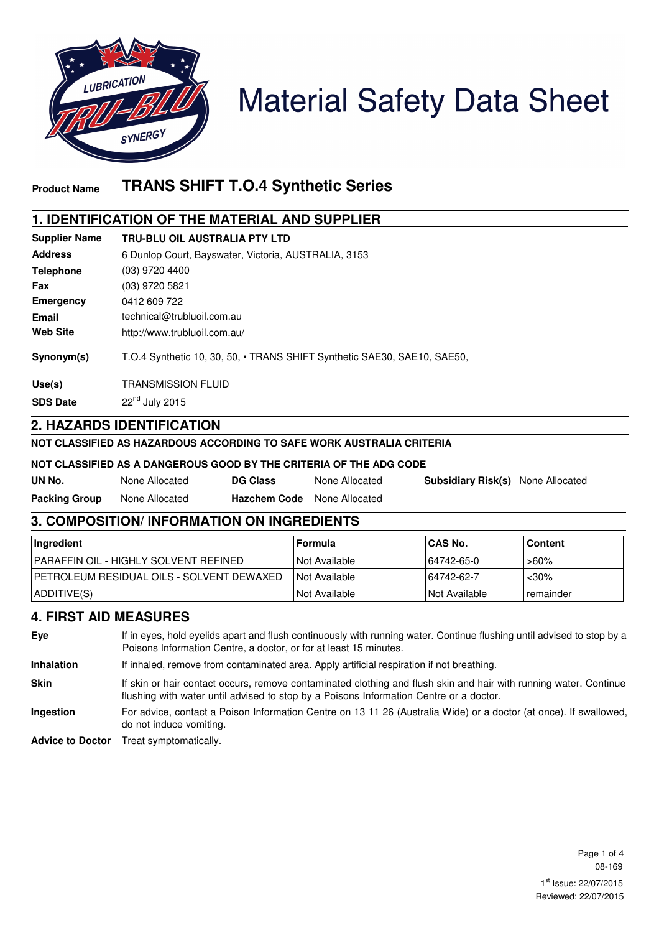

# **Material Safety Data Sheet**

# **Product Name TRANS SHIFT T.O.4 Synthetic Series**

## **1. IDENTIFICATION OF THE MATERIAL AND SUPPLIER**

| <b>Supplier Name</b> | <b>TRU-BLU OIL AUSTRALIA PTY LTD</b>                                     |
|----------------------|--------------------------------------------------------------------------|
| <b>Address</b>       | 6 Dunlop Court, Bayswater, Victoria, AUSTRALIA, 3153                     |
| <b>Telephone</b>     | $(03)$ 9720 4400                                                         |
| Fax                  | (03) 9720 5821                                                           |
| Emergency            | 0412 609 722                                                             |
| Email                | technical@trubluoil.com.au                                               |
| <b>Web Site</b>      | http://www.trubluoil.com.au/                                             |
| Synonym(s)           | T.O.4 Synthetic 10, 30, 50, • TRANS SHIFT Synthetic SAE30, SAE10, SAE50, |
| Use(s)               | <b>TRANSMISSION FLUID</b>                                                |
| <b>SDS Date</b>      | $22nd$ July 2015                                                         |

#### **2. HAZARDS IDENTIFICATION**

#### **NOT CLASSIFIED AS HAZARDOUS ACCORDING TO SAFE WORK AUSTRALIA CRITERIA**

#### **NOT CLASSIFIED AS A DANGEROUS GOOD BY THE CRITERIA OF THE ADG CODE**

| UN No.               | None Allocated | <b>DG Class</b>     | None Allocated |
|----------------------|----------------|---------------------|----------------|
| <b>Packing Group</b> | None Allocated | <b>Hazchem Code</b> | None Allocated |

## **3. COMPOSITION/ INFORMATION ON INGREDIENTS**

| Ingredient                                    | l Formula       | <b>ICAS No.</b> | <b>Content</b>   |
|-----------------------------------------------|-----------------|-----------------|------------------|
| <b>IPARAFFIN OIL - HIGHLY SOLVENT REFINED</b> | I Not Available | 64742-65-0      | >60%             |
| I PETROLEUM RESIDUAL OILS - SOLVENT DEWAXED   | I Not Available | 64742-62-7      | $<$ 30%          |
| ADDITIVE(S)                                   | I Not Available | INot Available  | <b>remainder</b> |

## **4. FIRST AID MEASURES**

**Eye** If in eyes, hold eyelids apart and flush continuously with running water. Continue flushing until advised to stop by a Poisons Information Centre, a doctor, or for at least 15 minutes. **Inhalation** If inhaled, remove from contaminated area. Apply artificial respiration if not breathing. **Skin** If skin or hair contact occurs, remove contaminated clothing and flush skin and hair with running water. Continue flushing with water until advised to stop by a Poisons Information Centre or a doctor. **Ingestion** For advice, contact a Poison Information Centre on 13 11 26 (Australia Wide) or a doctor (at once). If swallowed, do not induce vomiting. **Advice to Doctor** Treat symptomatically.

**Subsidiary Risk(s)** None Allocated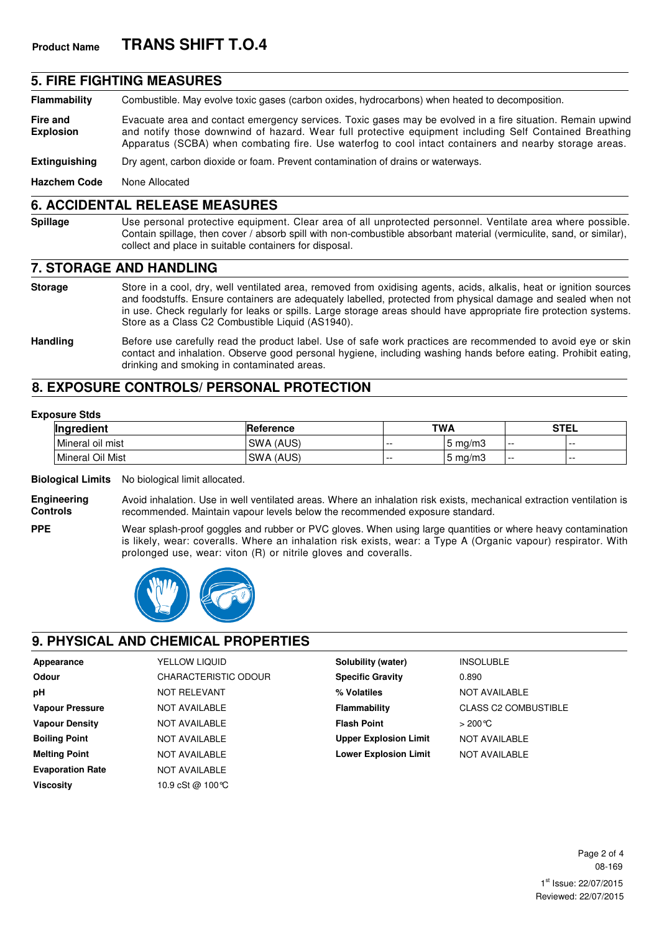#### **5. FIRE FIGHTING MEASURES**

**Flammability** Combustible. May evolve toxic gases (carbon oxides, hydrocarbons) when heated to decomposition.

**Fire and Explosion** Evacuate area and contact emergency services. Toxic gases may be evolved in a fire situation. Remain upwind and notify those downwind of hazard. Wear full protective equipment including Self Contained Breathing Apparatus (SCBA) when combating fire. Use waterfog to cool intact containers and nearby storage areas.

**Extinguishing** Dry agent, carbon dioxide or foam. Prevent contamination of drains or waterways.

**Hazchem Code** None Allocated

### **6. ACCIDENTAL RELEASE MEASURES**

**Spillage** Use personal protective equipment. Clear area of all unprotected personnel. Ventilate area where possible. Contain spillage, then cover / absorb spill with non-combustible absorbant material (vermiculite, sand, or similar), collect and place in suitable containers for disposal.

#### **7. STORAGE AND HANDLING**

- **Storage** Store in a cool, dry, well ventilated area, removed from oxidising agents, acids, alkalis, heat or ignition sources and foodstuffs. Ensure containers are adequately labelled, protected from physical damage and sealed when not in use. Check regularly for leaks or spills. Large storage areas should have appropriate fire protection systems. Store as a Class C2 Combustible Liquid (AS1940).
- **Handling** Before use carefully read the product label. Use of safe work practices are recommended to avoid eye or skin contact and inhalation. Observe good personal hygiene, including washing hands before eating. Prohibit eating, drinking and smoking in contaminated areas.

## **8. EXPOSURE CONTROLS/ PERSONAL PROTECTION**

#### **Exposure Stds**

**PPE**

| Ingredient       | Reference           | <b>TWA</b> |               | <b>STEL</b> |   |
|------------------|---------------------|------------|---------------|-------------|---|
| Mineral oil mist | SWA (AUS)           | $- -$      | ma/m3<br>ა    | .           | . |
| Mineral Oil Mist | (AUS)<br><b>SWA</b> | $- -$      | ma/m۵ آ<br>'5 | .           | . |

**Biological Limits** No biological limit allocated.

**Engineering Controls** Avoid inhalation. Use in well ventilated areas. Where an inhalation risk exists, mechanical extraction ventilation is recommended. Maintain vapour levels below the recommended exposure standard.

Wear splash-proof goggles and rubber or PVC gloves. When using large quantities or where heavy contamination is likely, wear: coveralls. Where an inhalation risk exists, wear: a Type A (Organic vapour) respirator. With prolonged use, wear: viton (R) or nitrile gloves and coveralls.



## **9. PHYSICAL AND CHEMICAL PROPERTIES**

| Appearance              | YELLOW LIQUID               | Solubility (water)           | <b>INSOLUBLE</b>            |
|-------------------------|-----------------------------|------------------------------|-----------------------------|
| <b>Odour</b>            | <b>CHARACTERISTIC ODOUR</b> | <b>Specific Gravity</b>      | 0.890                       |
| рH                      | <b>NOT RELEVANT</b>         | % Volatiles                  | <b>NOT AVAILABLE</b>        |
| <b>Vapour Pressure</b>  | NOT AVAILABLE               | Flammability                 | <b>CLASS C2 COMBUSTIBLE</b> |
| <b>Vapour Density</b>   | NOT AVAILABLE               | <b>Flash Point</b>           | $>200^{\circ}$ C            |
| <b>Boiling Point</b>    | <b>NOT AVAILABLE</b>        | <b>Upper Explosion Limit</b> | <b>NOT AVAILABLE</b>        |
| <b>Melting Point</b>    | NOT AVAILABLE               | <b>Lower Explosion Limit</b> | <b>NOT AVAILABLE</b>        |
| <b>Evaporation Rate</b> | NOT AVAILABLE               |                              |                             |
| <b>Viscosity</b>        | 10.9 cSt @ 100 ℃            |                              |                             |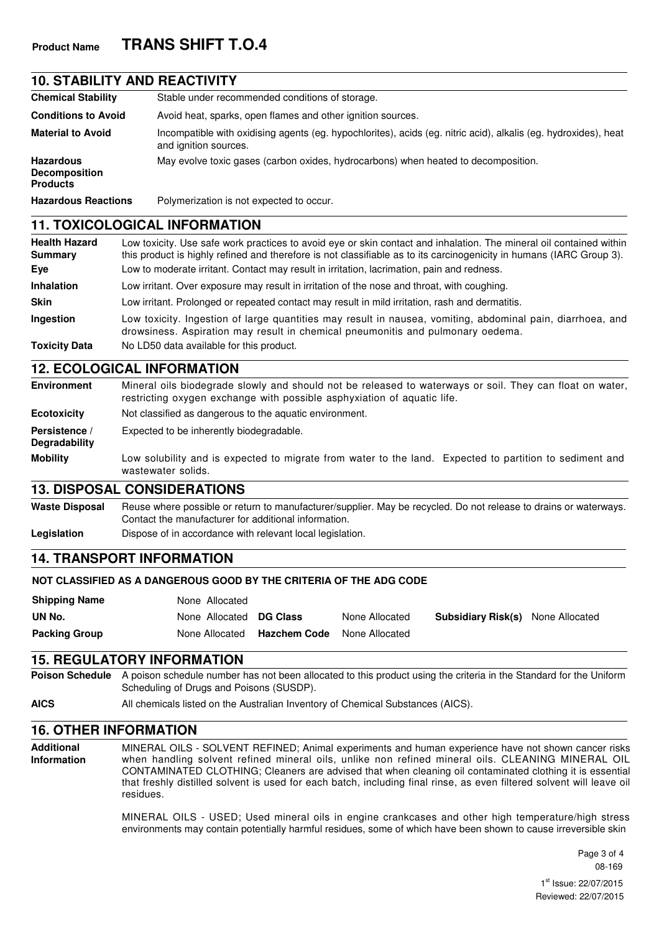## **10. STABILITY AND REACTIVITY**

| <b>Chemical Stability</b>                                   | Stable under recommended conditions of storage.                                                                                          |
|-------------------------------------------------------------|------------------------------------------------------------------------------------------------------------------------------------------|
| <b>Conditions to Avoid</b>                                  | Avoid heat, sparks, open flames and other ignition sources.                                                                              |
| <b>Material to Avoid</b>                                    | Incompatible with oxidising agents (eg. hypochlorites), acids (eg. nitric acid), alkalis (eg. hydroxides), heat<br>and ignition sources. |
| <b>Hazardous</b><br><b>Decomposition</b><br><b>Products</b> | May evolve toxic gases (carbon oxides, hydrocarbons) when heated to decomposition.                                                       |
| <b>Hazardous Reactions</b>                                  | Polymerization is not expected to occur.                                                                                                 |

#### **11. TOXICOLOGICAL INFORMATION**

| <b>Health Hazard</b><br><b>Summary</b> | Low toxicity. Use safe work practices to avoid eye or skin contact and inhalation. The mineral oil contained within<br>this product is highly refined and therefore is not classifiable as to its carcinogenicity in humans (IARC Group 3). |
|----------------------------------------|---------------------------------------------------------------------------------------------------------------------------------------------------------------------------------------------------------------------------------------------|
| Eye                                    | Low to moderate irritant. Contact may result in irritation, lacrimation, pain and redness.                                                                                                                                                  |
| <b>Inhalation</b>                      | Low irritant. Over exposure may result in irritation of the nose and throat, with coughing.                                                                                                                                                 |
| <b>Skin</b>                            | Low irritant. Prolonged or repeated contact may result in mild irritation, rash and dermatitis.                                                                                                                                             |
| <b>Ingestion</b>                       | Low toxicity. Ingestion of large quantities may result in nausea, vomiting, abdominal pain, diarrhoea, and<br>drowsiness. Aspiration may result in chemical pneumonitis and pulmonary oedema.                                               |
| <b>Toxicity Data</b>                   | No LD50 data available for this product.                                                                                                                                                                                                    |

#### **12. ECOLOGICAL INFORMATION**

| Environment                    | Mineral oils biodegrade slowly and should not be released to waterways or soil. They can float on water,<br>restricting oxygen exchange with possible asphyxiation of aquatic life. |  |  |  |  |  |
|--------------------------------|-------------------------------------------------------------------------------------------------------------------------------------------------------------------------------------|--|--|--|--|--|
| <b>Ecotoxicity</b>             | Not classified as dangerous to the aquatic environment.                                                                                                                             |  |  |  |  |  |
| Persistence /<br>Degradability | Expected to be inherently biodegradable.                                                                                                                                            |  |  |  |  |  |
| <b>Mobility</b>                | Low solubility and is expected to migrate from water to the land. Expected to partition to sediment and<br>wastewater solids.                                                       |  |  |  |  |  |

#### **13. DISPOSAL CONSIDERATIONS**

Waste Disposal Reuse where possible or return to manufacturer/supplier. May be recycled. Do not release to drains or waterways. Contact the manufacturer for additional information.

**Legislation** Dispose of in accordance with relevant local legislation.

## **14. TRANSPORT INFORMATION**

#### **NOT CLASSIFIED AS A DANGEROUS GOOD BY THE CRITERIA OF THE ADG CODE**

| <b>Shipping Name</b> | None Allocated          |                     |                |                                          |  |
|----------------------|-------------------------|---------------------|----------------|------------------------------------------|--|
| UN No.               | None Allocated DG Class |                     | None Allocated | <b>Subsidiary Risk(s)</b> None Allocated |  |
| <b>Packing Group</b> | None Allocated          | <b>Hazchem Code</b> | None Allocated |                                          |  |

#### **15. REGULATORY INFORMATION**

**Poison Schedule** A poison schedule number has not been allocated to this product using the criteria in the Standard for the Uniform Scheduling of Drugs and Poisons (SUSDP).

**AICS** All chemicals listed on the Australian Inventory of Chemical Substances (AICS).

#### **16. OTHER INFORMATION**

**Additional Information** MINERAL OILS - SOLVENT REFINED; Animal experiments and human experience have not shown cancer risks when handling solvent refined mineral oils, unlike non refined mineral oils. CLEANING MINERAL OIL CONTAMINATED CLOTHING; Cleaners are advised that when cleaning oil contaminated clothing it is essential that freshly distilled solvent is used for each batch, including final rinse, as even filtered solvent will leave oil residues.

> MINERAL OILS - USED; Used mineral oils in engine crankcases and other high temperature/high stress environments may contain potentially harmful residues, some of which have been shown to cause irreversible skin